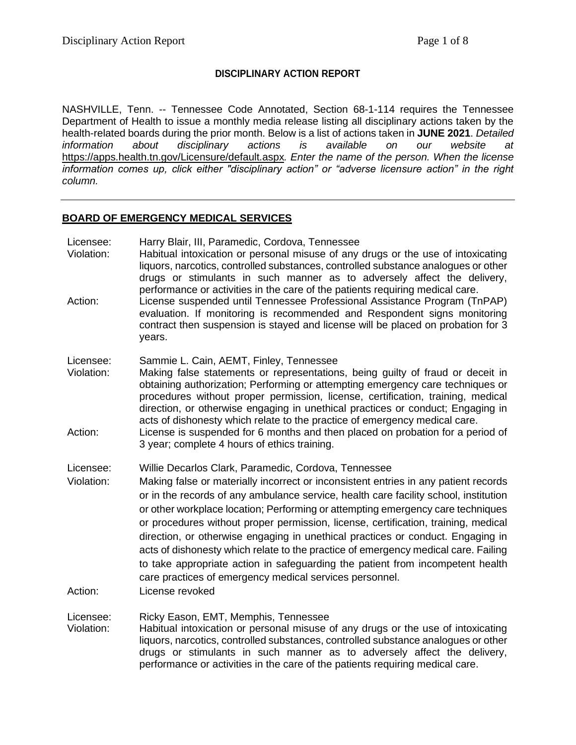## **DISCIPLINARY ACTION REPORT**

NASHVILLE, Tenn. -- Tennessee Code Annotated, Section 68-1-114 requires the Tennessee Department of Health to issue a monthly media release listing all disciplinary actions taken by the health-related boards during the prior month. Below is a list of actions taken in **JUNE 2021**. *Detailed information about disciplinary actions is available on our website at*  <https://apps.health.tn.gov/Licensure/default.aspx>*. Enter the name of the person. When the license information comes up, click either "disciplinary action" or "adverse licensure action" in the right column.*

## **BOARD OF EMERGENCY MEDICAL SERVICES**

- Licensee: Harry Blair, III, Paramedic, Cordova, Tennessee
- Violation: Habitual intoxication or personal misuse of any drugs or the use of intoxicating liquors, narcotics, controlled substances, controlled substance analogues or other drugs or stimulants in such manner as to adversely affect the delivery, performance or activities in the care of the patients requiring medical care.
- Action: License suspended until Tennessee Professional Assistance Program (TnPAP) evaluation. If monitoring is recommended and Respondent signs monitoring contract then suspension is stayed and license will be placed on probation for 3 years.
- Licensee: Sammie L. Cain, AEMT, Finley, Tennessee
- Violation: Making false statements or representations, being guilty of fraud or deceit in obtaining authorization; Performing or attempting emergency care techniques or procedures without proper permission, license, certification, training, medical direction, or otherwise engaging in unethical practices or conduct; Engaging in acts of dishonesty which relate to the practice of emergency medical care.
- Action: License is suspended for 6 months and then placed on probation for a period of 3 year; complete 4 hours of ethics training.

Licensee: Willie Decarlos Clark, Paramedic, Cordova, Tennessee

- Violation: Making false or materially incorrect or inconsistent entries in any patient records or in the records of any ambulance service, health care facility school, institution or other workplace location; Performing or attempting emergency care techniques or procedures without proper permission, license, certification, training, medical direction, or otherwise engaging in unethical practices or conduct. Engaging in acts of dishonesty which relate to the practice of emergency medical care. Failing to take appropriate action in safeguarding the patient from incompetent health care practices of emergency medical services personnel.
- Action: License revoked

Licensee: Ricky Eason, EMT, Memphis, Tennessee

Violation: Habitual intoxication or personal misuse of any drugs or the use of intoxicating liquors, narcotics, controlled substances, controlled substance analogues or other drugs or stimulants in such manner as to adversely affect the delivery, performance or activities in the care of the patients requiring medical care.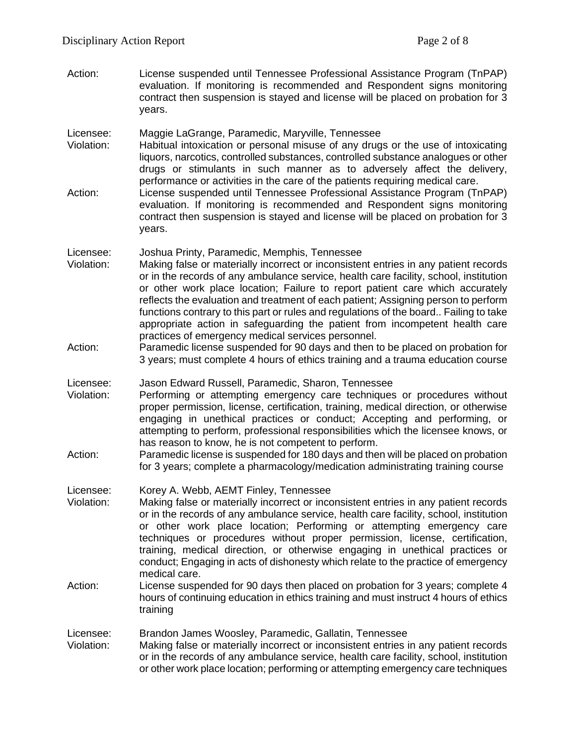- Action: License suspended until Tennessee Professional Assistance Program (TnPAP) evaluation. If monitoring is recommended and Respondent signs monitoring contract then suspension is stayed and license will be placed on probation for 3 years.
- Licensee: Maggie LaGrange, Paramedic, Maryville, Tennessee
- Violation: Habitual intoxication or personal misuse of any drugs or the use of intoxicating liquors, narcotics, controlled substances, controlled substance analogues or other drugs or stimulants in such manner as to adversely affect the delivery, performance or activities in the care of the patients requiring medical care.
- Action: License suspended until Tennessee Professional Assistance Program (TnPAP) evaluation. If monitoring is recommended and Respondent signs monitoring contract then suspension is stayed and license will be placed on probation for 3 years.
- Licensee: Joshua Printy, Paramedic, Memphis, Tennessee
- Violation: Making false or materially incorrect or inconsistent entries in any patient records or in the records of any ambulance service, health care facility, school, institution or other work place location; Failure to report patient care which accurately reflects the evaluation and treatment of each patient; Assigning person to perform functions contrary to this part or rules and regulations of the board.. Failing to take appropriate action in safeguarding the patient from incompetent health care practices of emergency medical services personnel.
- Action: Paramedic license suspended for 90 days and then to be placed on probation for 3 years; must complete 4 hours of ethics training and a trauma education course
- Licensee: Jason Edward Russell, Paramedic, Sharon, Tennessee
- Violation: Performing or attempting emergency care techniques or procedures without proper permission, license, certification, training, medical direction, or otherwise engaging in unethical practices or conduct; Accepting and performing, or attempting to perform, professional responsibilities which the licensee knows, or has reason to know, he is not competent to perform.
- Action: Paramedic license is suspended for 180 days and then will be placed on probation for 3 years; complete a pharmacology/medication administrating training course
- Licensee: Korey A. Webb, AEMT Finley, Tennessee
- Violation: Making false or materially incorrect or inconsistent entries in any patient records or in the records of any ambulance service, health care facility, school, institution or other work place location; Performing or attempting emergency care techniques or procedures without proper permission, license, certification, training, medical direction, or otherwise engaging in unethical practices or conduct; Engaging in acts of dishonesty which relate to the practice of emergency medical care.
- Action: License suspended for 90 days then placed on probation for 3 years; complete 4 hours of continuing education in ethics training and must instruct 4 hours of ethics training
- Licensee: Brandon James Woosley, Paramedic, Gallatin, Tennessee
- Violation: Making false or materially incorrect or inconsistent entries in any patient records or in the records of any ambulance service, health care facility, school, institution or other work place location; performing or attempting emergency care techniques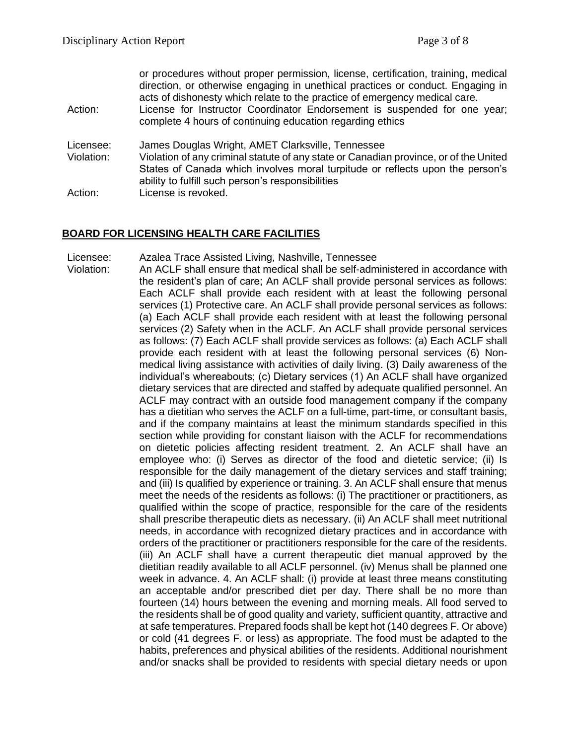| Action:                 | or procedures without proper permission, license, certification, training, medical<br>direction, or otherwise engaging in unethical practices or conduct. Engaging in<br>acts of dishonesty which relate to the practice of emergency medical care.<br>License for Instructor Coordinator Endorsement is suspended for one year;<br>complete 4 hours of continuing education regarding ethics |
|-------------------------|-----------------------------------------------------------------------------------------------------------------------------------------------------------------------------------------------------------------------------------------------------------------------------------------------------------------------------------------------------------------------------------------------|
| Licensee:<br>Violation: | James Douglas Wright, AMET Clarksville, Tennessee<br>Violation of any criminal statute of any state or Canadian province, or of the United<br>States of Canada which involves moral turpitude or reflects upon the person's                                                                                                                                                                   |
| Action:                 | ability to fulfill such person's responsibilities<br>License is revoked.                                                                                                                                                                                                                                                                                                                      |

## **BOARD FOR LICENSING HEALTH CARE FACILITIES**

Licensee: Azalea Trace Assisted Living, Nashville, Tennessee Violation: An ACLF shall ensure that medical shall be self-administered in accordance with

the resident's plan of care; An ACLF shall provide personal services as follows: Each ACLF shall provide each resident with at least the following personal services (1) Protective care. An ACLF shall provide personal services as follows: (a) Each ACLF shall provide each resident with at least the following personal services (2) Safety when in the ACLF. An ACLF shall provide personal services as follows: (7) Each ACLF shall provide services as follows: (a) Each ACLF shall provide each resident with at least the following personal services (6) Nonmedical living assistance with activities of daily living. (3) Daily awareness of the individual's whereabouts; (c) Dietary services (1) An ACLF shall have organized dietary services that are directed and staffed by adequate qualified personnel. An ACLF may contract with an outside food management company if the company has a dietitian who serves the ACLF on a full-time, part-time, or consultant basis, and if the company maintains at least the minimum standards specified in this section while providing for constant liaison with the ACLF for recommendations on dietetic policies affecting resident treatment. 2. An ACLF shall have an employee who: (i) Serves as director of the food and dietetic service; (ii) Is responsible for the daily management of the dietary services and staff training; and (iii) Is qualified by experience or training. 3. An ACLF shall ensure that menus meet the needs of the residents as follows: (i) The practitioner or practitioners, as qualified within the scope of practice, responsible for the care of the residents shall prescribe therapeutic diets as necessary. (ii) An ACLF shall meet nutritional needs, in accordance with recognized dietary practices and in accordance with orders of the practitioner or practitioners responsible for the care of the residents. (iii) An ACLF shall have a current therapeutic diet manual approved by the dietitian readily available to all ACLF personnel. (iv) Menus shall be planned one week in advance. 4. An ACLF shall: (i) provide at least three means constituting an acceptable and/or prescribed diet per day. There shall be no more than fourteen (14) hours between the evening and morning meals. All food served to the residents shall be of good quality and variety, sufficient quantity, attractive and at safe temperatures. Prepared foods shall be kept hot (140 degrees F. Or above) or cold (41 degrees F. or less) as appropriate. The food must be adapted to the habits, preferences and physical abilities of the residents. Additional nourishment and/or snacks shall be provided to residents with special dietary needs or upon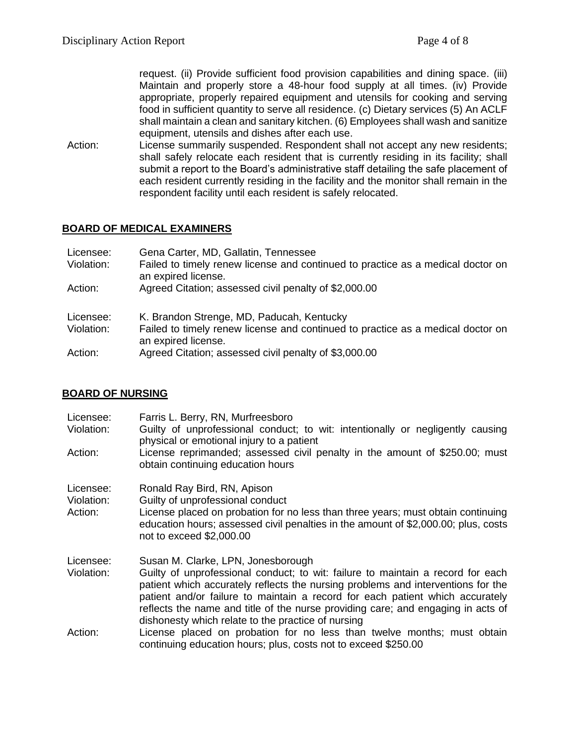request. (ii) Provide sufficient food provision capabilities and dining space. (iii) Maintain and properly store a 48-hour food supply at all times. (iv) Provide appropriate, properly repaired equipment and utensils for cooking and serving food in sufficient quantity to serve all residence. (c) Dietary services (5) An ACLF shall maintain a clean and sanitary kitchen. (6) Employees shall wash and sanitize equipment, utensils and dishes after each use.

Action: License summarily suspended. Respondent shall not accept any new residents; shall safely relocate each resident that is currently residing in its facility; shall submit a report to the Board's administrative staff detailing the safe placement of each resident currently residing in the facility and the monitor shall remain in the respondent facility until each resident is safely relocated.

# **BOARD OF MEDICAL EXAMINERS**

| Licensee:<br>Violation: | Gena Carter, MD, Gallatin, Tennessee<br>Failed to timely renew license and continued to practice as a medical doctor on<br>an expired license. |  |  |
|-------------------------|------------------------------------------------------------------------------------------------------------------------------------------------|--|--|
| Action:                 | Agreed Citation; assessed civil penalty of \$2,000.00                                                                                          |  |  |
| Licensee:               | K. Brandon Strenge, MD, Paducah, Kentucky                                                                                                      |  |  |
| Violation:              | Failed to timely renew license and continued to practice as a medical doctor on<br>an expired license.                                         |  |  |
| Action:                 | Agreed Citation; assessed civil penalty of \$3,000.00                                                                                          |  |  |

## **BOARD OF NURSING**

| Licensee:<br>Violation: | Farris L. Berry, RN, Murfreesboro<br>Guilty of unprofessional conduct; to wit: intentionally or negligently causing<br>physical or emotional injury to a patient                                                                                                                                                                                                                               |
|-------------------------|------------------------------------------------------------------------------------------------------------------------------------------------------------------------------------------------------------------------------------------------------------------------------------------------------------------------------------------------------------------------------------------------|
| Action:                 | License reprimanded; assessed civil penalty in the amount of \$250.00; must<br>obtain continuing education hours                                                                                                                                                                                                                                                                               |
| Licensee:               | Ronald Ray Bird, RN, Apison                                                                                                                                                                                                                                                                                                                                                                    |
| Violation:              | Guilty of unprofessional conduct                                                                                                                                                                                                                                                                                                                                                               |
| Action:                 | License placed on probation for no less than three years; must obtain continuing<br>education hours; assessed civil penalties in the amount of \$2,000.00; plus, costs<br>not to exceed \$2,000.00                                                                                                                                                                                             |
| Licensee:               | Susan M. Clarke, LPN, Jonesborough                                                                                                                                                                                                                                                                                                                                                             |
| Violation:              | Guilty of unprofessional conduct; to wit: failure to maintain a record for each<br>patient which accurately reflects the nursing problems and interventions for the<br>patient and/or failure to maintain a record for each patient which accurately<br>reflects the name and title of the nurse providing care; and engaging in acts of<br>dishonesty which relate to the practice of nursing |
| Action:                 | License placed on probation for no less than twelve months; must obtain<br>continuing education hours; plus, costs not to exceed \$250.00                                                                                                                                                                                                                                                      |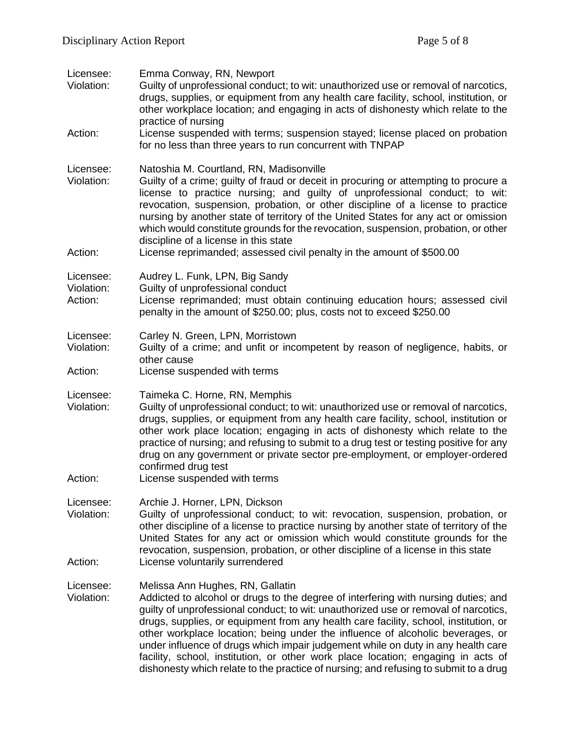| Licensee:<br>Violation:<br>Action: | Emma Conway, RN, Newport<br>Guilty of unprofessional conduct; to wit: unauthorized use or removal of narcotics,<br>drugs, supplies, or equipment from any health care facility, school, institution, or<br>other workplace location; and engaging in acts of dishonesty which relate to the<br>practice of nursing<br>License suspended with terms; suspension stayed; license placed on probation<br>for no less than three years to run concurrent with TNPAP                                                                                                                                                                                         |  |
|------------------------------------|---------------------------------------------------------------------------------------------------------------------------------------------------------------------------------------------------------------------------------------------------------------------------------------------------------------------------------------------------------------------------------------------------------------------------------------------------------------------------------------------------------------------------------------------------------------------------------------------------------------------------------------------------------|--|
| Licensee:<br>Violation:<br>Action: | Natoshia M. Courtland, RN, Madisonville<br>Guilty of a crime; guilty of fraud or deceit in procuring or attempting to procure a<br>license to practice nursing; and guilty of unprofessional conduct; to wit:<br>revocation, suspension, probation, or other discipline of a license to practice<br>nursing by another state of territory of the United States for any act or omission<br>which would constitute grounds for the revocation, suspension, probation, or other<br>discipline of a license in this state<br>License reprimanded; assessed civil penalty in the amount of \$500.00                                                          |  |
| Licensee:<br>Violation:<br>Action: | Audrey L. Funk, LPN, Big Sandy<br>Guilty of unprofessional conduct<br>License reprimanded; must obtain continuing education hours; assessed civil<br>penalty in the amount of \$250.00; plus, costs not to exceed \$250.00                                                                                                                                                                                                                                                                                                                                                                                                                              |  |
| Licensee:<br>Violation:<br>Action: | Carley N. Green, LPN, Morristown<br>Guilty of a crime; and unfit or incompetent by reason of negligence, habits, or<br>other cause<br>License suspended with terms                                                                                                                                                                                                                                                                                                                                                                                                                                                                                      |  |
| Licensee:<br>Violation:<br>Action: | Taimeka C. Horne, RN, Memphis<br>Guilty of unprofessional conduct; to wit: unauthorized use or removal of narcotics,<br>drugs, supplies, or equipment from any health care facility, school, institution or<br>other work place location; engaging in acts of dishonesty which relate to the<br>practice of nursing; and refusing to submit to a drug test or testing positive for any<br>drug on any government or private sector pre-employment, or employer-ordered<br>confirmed drug test<br>License suspended with terms                                                                                                                           |  |
| Licensee:<br>Violation:<br>Action: | Archie J. Horner, LPN, Dickson<br>Guilty of unprofessional conduct; to wit: revocation, suspension, probation, or<br>other discipline of a license to practice nursing by another state of territory of the<br>United States for any act or omission which would constitute grounds for the<br>revocation, suspension, probation, or other discipline of a license in this state<br>License voluntarily surrendered                                                                                                                                                                                                                                     |  |
| Licensee:<br>Violation:            | Melissa Ann Hughes, RN, Gallatin<br>Addicted to alcohol or drugs to the degree of interfering with nursing duties; and<br>guilty of unprofessional conduct; to wit: unauthorized use or removal of narcotics,<br>drugs, supplies, or equipment from any health care facility, school, institution, or<br>other workplace location; being under the influence of alcoholic beverages, or<br>under influence of drugs which impair judgement while on duty in any health care<br>facility, school, institution, or other work place location; engaging in acts of<br>dishonesty which relate to the practice of nursing; and refusing to submit to a drug |  |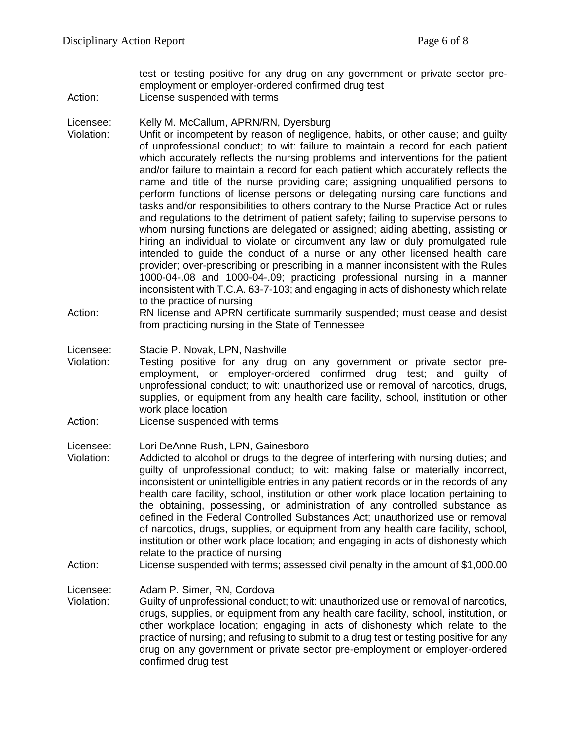test or testing positive for any drug on any government or private sector preemployment or employer-ordered confirmed drug test

Action: License suspended with terms

#### Licensee: Kelly M. McCallum, APRN/RN, Dyersburg

- Violation: Unfit or incompetent by reason of negligence, habits, or other cause; and guilty of unprofessional conduct; to wit: failure to maintain a record for each patient which accurately reflects the nursing problems and interventions for the patient and/or failure to maintain a record for each patient which accurately reflects the name and title of the nurse providing care; assigning unqualified persons to perform functions of license persons or delegating nursing care functions and tasks and/or responsibilities to others contrary to the Nurse Practice Act or rules and regulations to the detriment of patient safety; failing to supervise persons to whom nursing functions are delegated or assigned; aiding abetting, assisting or hiring an individual to violate or circumvent any law or duly promulgated rule intended to guide the conduct of a nurse or any other licensed health care provider; over-prescribing or prescribing in a manner inconsistent with the Rules 1000-04-.08 and 1000-04-.09; practicing professional nursing in a manner inconsistent with T.C.A. 63-7-103; and engaging in acts of dishonesty which relate to the practice of nursing
- Action: RN license and APRN certificate summarily suspended; must cease and desist from practicing nursing in the State of Tennessee

#### Licensee: Stacie P. Novak, LPN, Nashville

- Violation: Testing positive for any drug on any government or private sector preemployment, or employer-ordered confirmed drug test; and guilty of unprofessional conduct; to wit: unauthorized use or removal of narcotics, drugs, supplies, or equipment from any health care facility, school, institution or other work place location
- Action: License suspended with terms

#### Licensee: Lori DeAnne Rush, LPN, Gainesboro

- Violation: Addicted to alcohol or drugs to the degree of interfering with nursing duties; and guilty of unprofessional conduct; to wit: making false or materially incorrect, inconsistent or unintelligible entries in any patient records or in the records of any health care facility, school, institution or other work place location pertaining to the obtaining, possessing, or administration of any controlled substance as defined in the Federal Controlled Substances Act; unauthorized use or removal of narcotics, drugs, supplies, or equipment from any health care facility, school, institution or other work place location; and engaging in acts of dishonesty which relate to the practice of nursing
- Action: License suspended with terms; assessed civil penalty in the amount of \$1,000.00

Licensee: Adam P. Simer, RN, Cordova

Violation: Guilty of unprofessional conduct; to wit: unauthorized use or removal of narcotics, drugs, supplies, or equipment from any health care facility, school, institution, or other workplace location; engaging in acts of dishonesty which relate to the practice of nursing; and refusing to submit to a drug test or testing positive for any drug on any government or private sector pre-employment or employer-ordered confirmed drug test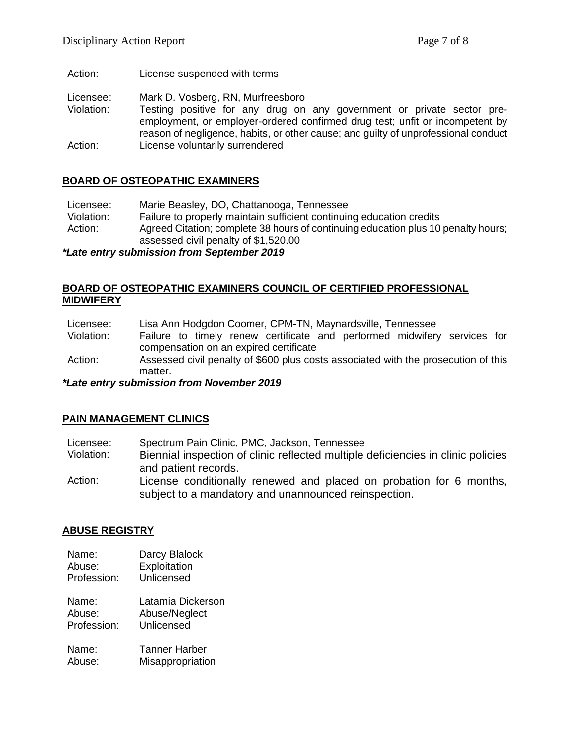Action: License suspended with terms

Licensee: Mark D. Vosberg, RN, Murfreesboro

Violation: Testing positive for any drug on any government or private sector preemployment, or employer-ordered confirmed drug test; unfit or incompetent by reason of negligence, habits, or other cause; and guilty of unprofessional conduct Action: License voluntarily surrendered

## **BOARD OF OSTEOPATHIC EXAMINERS**

Licensee: Marie Beasley, DO, Chattanooga, Tennessee Violation: Failure to properly maintain sufficient continuing education credits Action: Agreed Citation; complete 38 hours of continuing education plus 10 penalty hours; assessed civil penalty of \$1,520.00

*\*Late entry submission from September 2019*

## **BOARD OF OSTEOPATHIC EXAMINERS COUNCIL OF CERTIFIED PROFESSIONAL MIDWIFERY**

Licensee: Lisa Ann Hodgdon Coomer, CPM-TN, Maynardsville, Tennessee

- Violation: Failure to timely renew certificate and performed midwifery services for compensation on an expired certificate
- Action: Assessed civil penalty of \$600 plus costs associated with the prosecution of this matter.

*\*Late entry submission from November 2019*

## **PAIN MANAGEMENT CLINICS**

- Licensee: Spectrum Pain Clinic, PMC, Jackson, Tennessee
- Violation: Biennial inspection of clinic reflected multiple deficiencies in clinic policies and patient records.
- Action: License conditionally renewed and placed on probation for 6 months, subject to a mandatory and unannounced reinspection.

# **ABUSE REGISTRY**

- Name: Darcy Blalock Abuse: Exploitation Profession: Unlicensed Name: Latamia Dickerson Abuse: Abuse/Neglect Profession: Unlicensed
- Name: Tanner Harber Abuse: Misappropriation